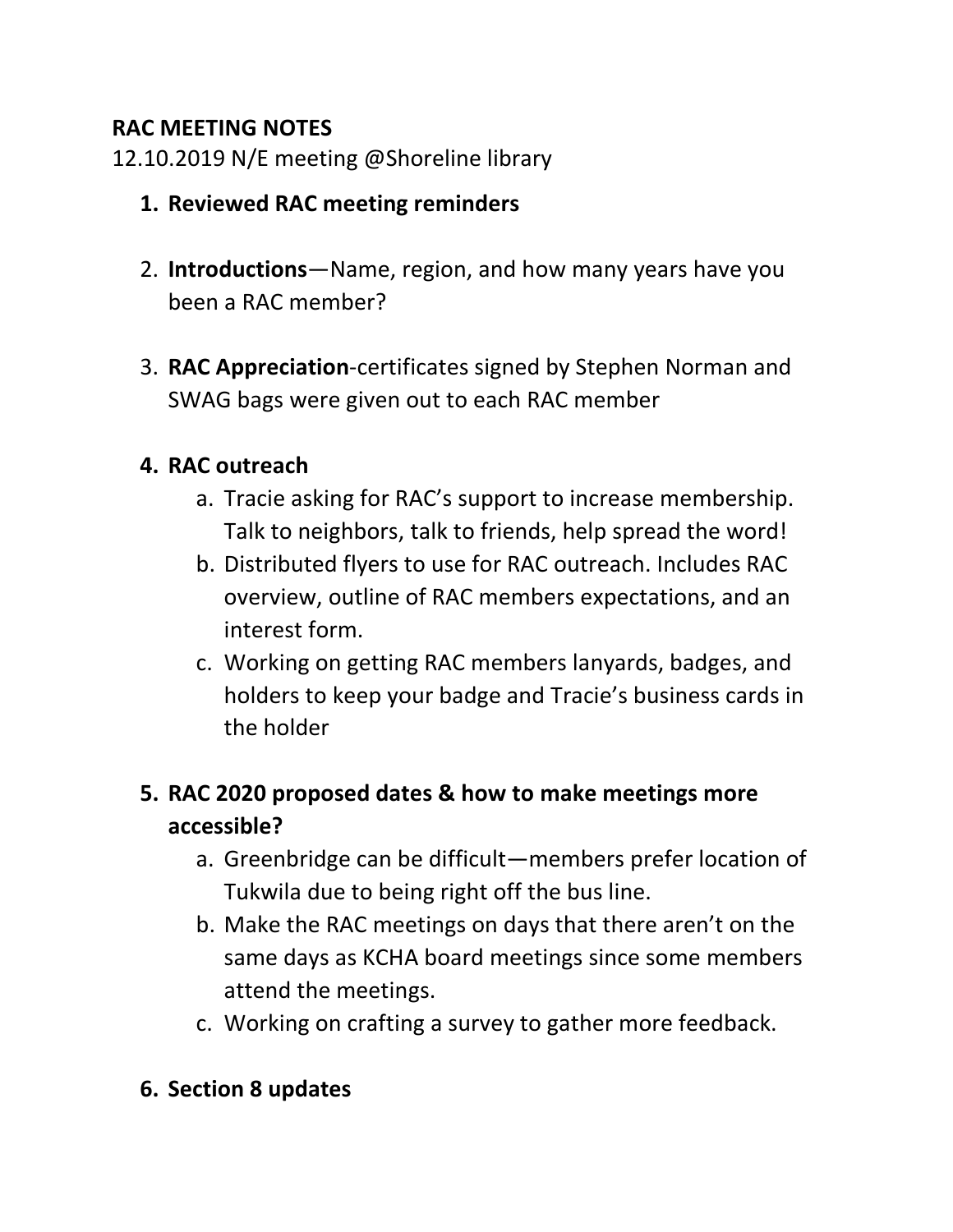### **RAC MEETING NOTES**

12.10.2019 N/E meeting @Shoreline library

- **1. Reviewed RAC meeting reminders**
- 2. **Introductions**—Name, region, and how many years have you been a RAC member?
- 3. **RAC Appreciation**-certificates signed by Stephen Norman and SWAG bags were given out to each RAC member

### **4. RAC outreach**

- a. Tracie asking for RAC's support to increase membership. Talk to neighbors, talk to friends, help spread the word!
- b. Distributed flyers to use for RAC outreach. Includes RAC overview, outline of RAC members expectations, and an interest form.
- c. Working on getting RAC members lanyards, badges, and holders to keep your badge and Tracie's business cards in the holder

## **5. RAC 2020 proposed dates & how to make meetings more accessible?**

- a. Greenbridge can be difficult—members prefer location of Tukwila due to being right off the bus line.
- b. Make the RAC meetings on days that there aren't on the same days as KCHA board meetings since some members attend the meetings.
- c. Working on crafting a survey to gather more feedback.

### **6. Section 8 updates**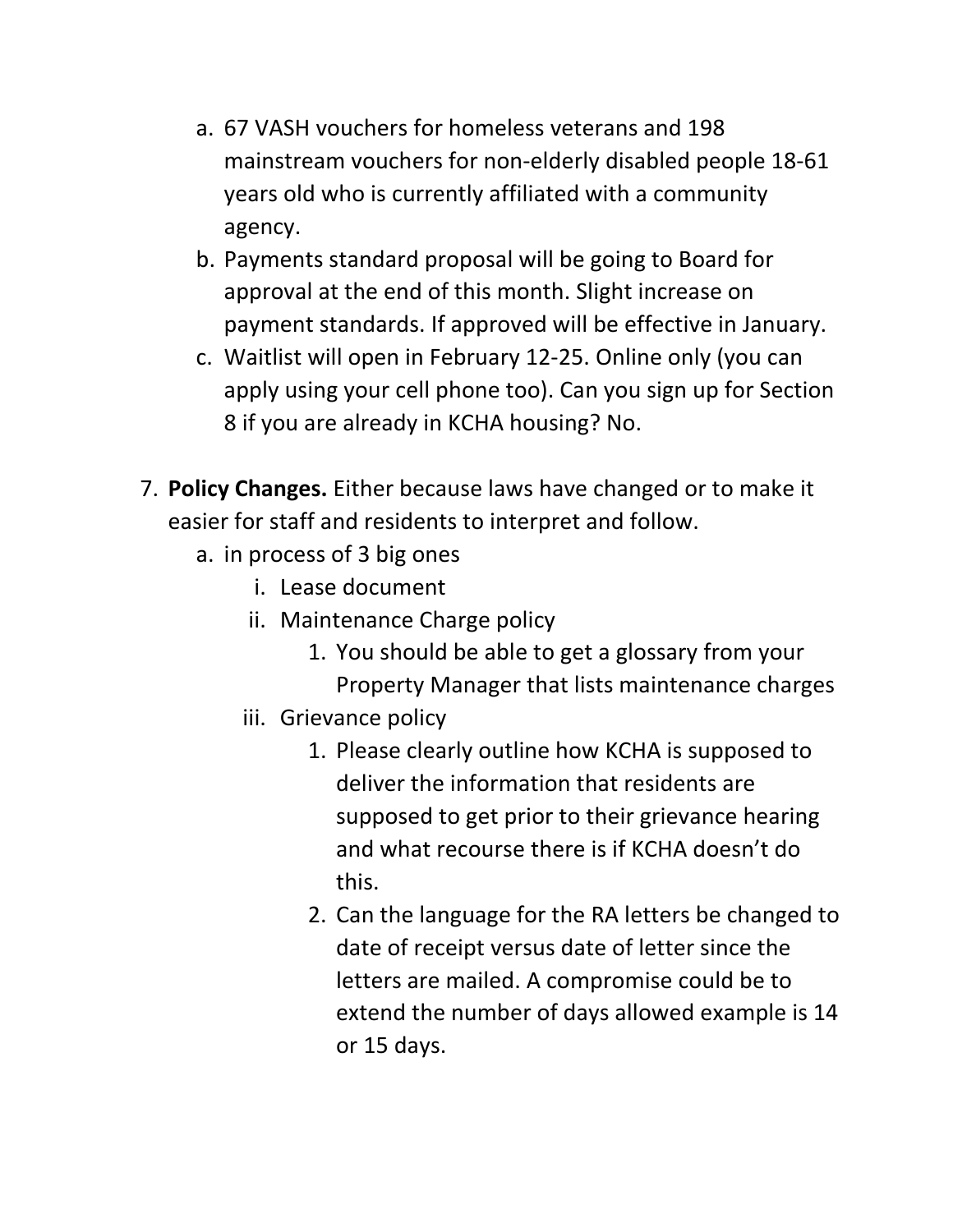- a. 67 VASH vouchers for homeless veterans and 198 mainstream vouchers for non-elderly disabled people 18-61 years old who is currently affiliated with a community agency.
- b. Payments standard proposal will be going to Board for approval at the end of this month. Slight increase on payment standards. If approved will be effective in January.
- c. Waitlist will open in February 12-25. Online only (you can apply using your cell phone too). Can you sign up for Section 8 if you are already in KCHA housing? No.
- 7. **Policy Changes.** Either because laws have changed or to make it easier for staff and residents to interpret and follow.
	- a. in process of 3 big ones
		- i. Lease document
		- ii. Maintenance Charge policy
			- 1. You should be able to get a glossary from your Property Manager that lists maintenance charges
		- iii. Grievance policy
			- 1. Please clearly outline how KCHA is supposed to deliver the information that residents are supposed to get prior to their grievance hearing and what recourse there is if KCHA doesn't do this.
			- 2. Can the language for the RA letters be changed to date of receipt versus date of letter since the letters are mailed. A compromise could be to extend the number of days allowed example is 14 or 15 days.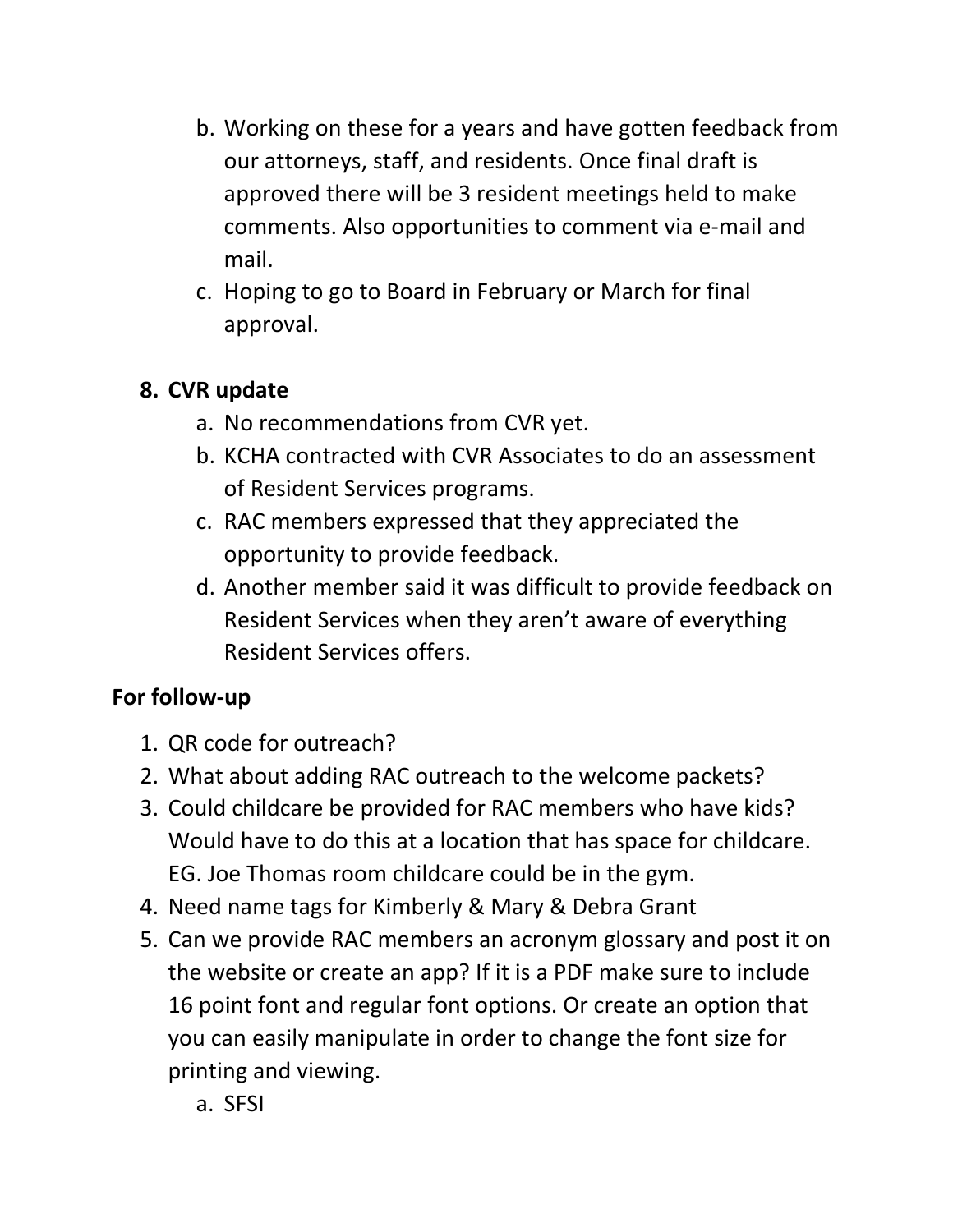- b. Working on these for a years and have gotten feedback from our attorneys, staff, and residents. Once final draft is approved there will be 3 resident meetings held to make comments. Also opportunities to comment via e-mail and mail.
- c. Hoping to go to Board in February or March for final approval.

## **8. CVR update**

- a. No recommendations from CVR yet.
- b. KCHA contracted with CVR Associates to do an assessment of Resident Services programs.
- c. RAC members expressed that they appreciated the opportunity to provide feedback.
- d. Another member said it was difficult to provide feedback on Resident Services when they aren't aware of everything Resident Services offers.

# **For follow-up**

- 1. QR code for outreach?
- 2. What about adding RAC outreach to the welcome packets?
- 3. Could childcare be provided for RAC members who have kids? Would have to do this at a location that has space for childcare. EG. Joe Thomas room childcare could be in the gym.
- 4. Need name tags for Kimberly & Mary & Debra Grant
- 5. Can we provide RAC members an acronym glossary and post it on the website or create an app? If it is a PDF make sure to include 16 point font and regular font options. Or create an option that you can easily manipulate in order to change the font size for printing and viewing.

a. SFSI